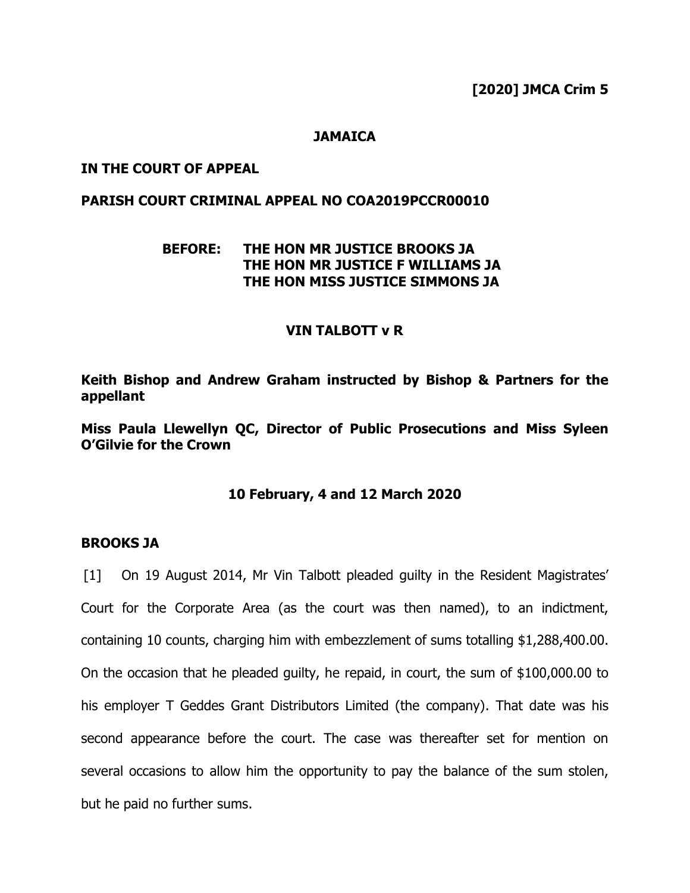**[2020] JMCA Crim 5**

## **JAMAICA**

## **IN THE COURT OF APPEAL**

## **PARISH COURT CRIMINAL APPEAL NO COA2019PCCR00010**

# **BEFORE: THE HON MR JUSTICE BROOKS JA THE HON MR JUSTICE F WILLIAMS JA THE HON MISS JUSTICE SIMMONS JA**

#### **VIN TALBOTT v R**

**Keith Bishop and Andrew Graham instructed by Bishop & Partners for the appellant**

**Miss Paula Llewellyn QC, Director of Public Prosecutions and Miss Syleen O'Gilvie for the Crown**

#### **10 February, 4 and 12 March 2020**

#### **BROOKS JA**

[1] On 19 August 2014, Mr Vin Talbott pleaded guilty in the Resident Magistrates' Court for the Corporate Area (as the court was then named), to an indictment, containing 10 counts, charging him with embezzlement of sums totalling \$1,288,400.00. On the occasion that he pleaded guilty, he repaid, in court, the sum of \$100,000.00 to his employer T Geddes Grant Distributors Limited (the company). That date was his second appearance before the court. The case was thereafter set for mention on several occasions to allow him the opportunity to pay the balance of the sum stolen, but he paid no further sums.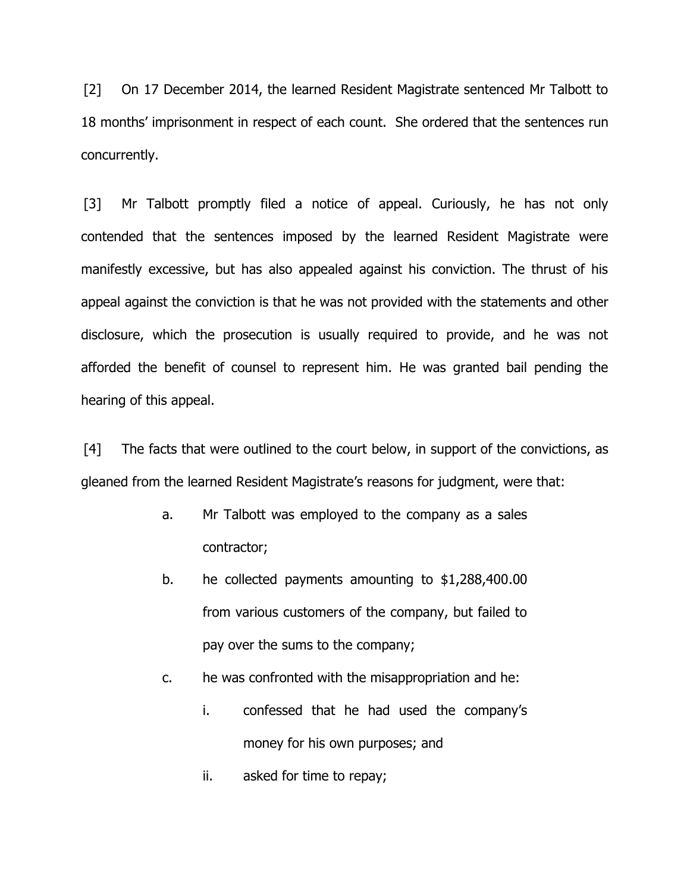[2] On 17 December 2014, the learned Resident Magistrate sentenced Mr Talbott to 18 months' imprisonment in respect of each count. She ordered that the sentences run concurrently.

[3] Mr Talbott promptly filed a notice of appeal. Curiously, he has not only contended that the sentences imposed by the learned Resident Magistrate were manifestly excessive, but has also appealed against his conviction. The thrust of his appeal against the conviction is that he was not provided with the statements and other disclosure, which the prosecution is usually required to provide, and he was not afforded the benefit of counsel to represent him. He was granted bail pending the hearing of this appeal.

[4] The facts that were outlined to the court below, in support of the convictions, as gleaned from the learned Resident Magistrate's reasons for judgment, were that:

- a. Mr Talbott was employed to the company as a sales contractor;
- b. he collected payments amounting to \$1,288,400.00 from various customers of the company, but failed to pay over the sums to the company;
- c. he was confronted with the misappropriation and he:
	- i. confessed that he had used the company's money for his own purposes; and
	- ii. asked for time to repay;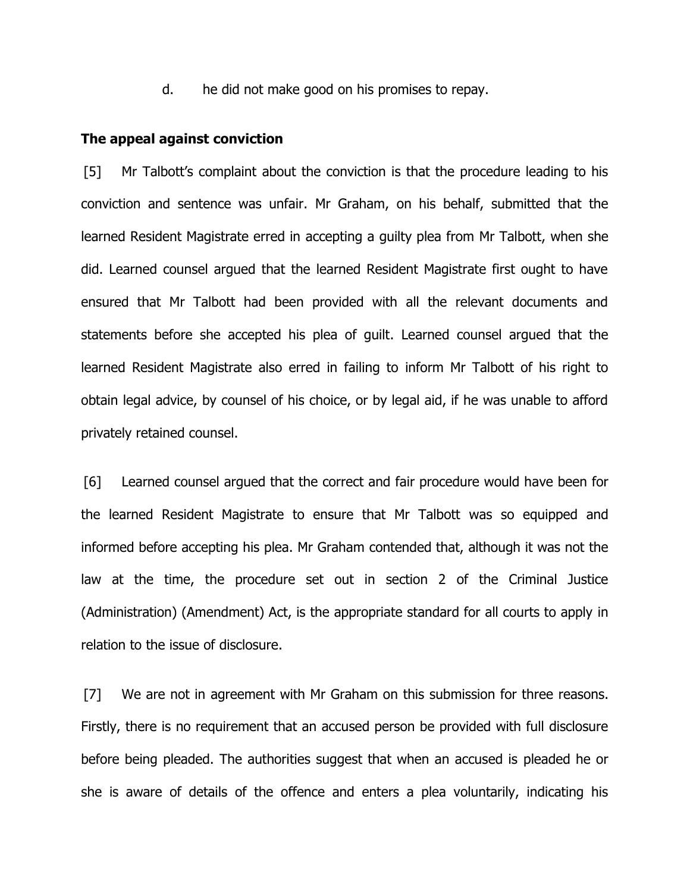d. he did not make good on his promises to repay.

#### **The appeal against conviction**

[5] Mr Talbott's complaint about the conviction is that the procedure leading to his conviction and sentence was unfair. Mr Graham, on his behalf, submitted that the learned Resident Magistrate erred in accepting a guilty plea from Mr Talbott, when she did. Learned counsel argued that the learned Resident Magistrate first ought to have ensured that Mr Talbott had been provided with all the relevant documents and statements before she accepted his plea of guilt. Learned counsel argued that the learned Resident Magistrate also erred in failing to inform Mr Talbott of his right to obtain legal advice, by counsel of his choice, or by legal aid, if he was unable to afford privately retained counsel.

[6] Learned counsel argued that the correct and fair procedure would have been for the learned Resident Magistrate to ensure that Mr Talbott was so equipped and informed before accepting his plea. Mr Graham contended that, although it was not the law at the time, the procedure set out in section 2 of the Criminal Justice (Administration) (Amendment) Act, is the appropriate standard for all courts to apply in relation to the issue of disclosure.

[7] We are not in agreement with Mr Graham on this submission for three reasons. Firstly, there is no requirement that an accused person be provided with full disclosure before being pleaded. The authorities suggest that when an accused is pleaded he or she is aware of details of the offence and enters a plea voluntarily, indicating his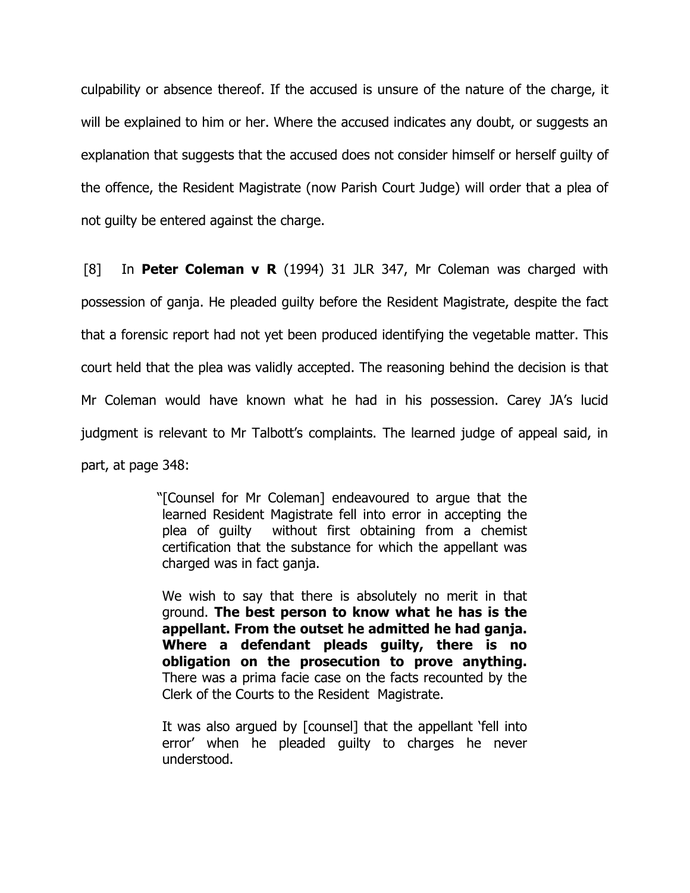culpability or absence thereof. If the accused is unsure of the nature of the charge, it will be explained to him or her. Where the accused indicates any doubt, or suggests an explanation that suggests that the accused does not consider himself or herself guilty of the offence, the Resident Magistrate (now Parish Court Judge) will order that a plea of not guilty be entered against the charge.

[8] In **Peter Coleman v R** (1994) 31 JLR 347, Mr Coleman was charged with possession of ganja. He pleaded guilty before the Resident Magistrate, despite the fact that a forensic report had not yet been produced identifying the vegetable matter. This court held that the plea was validly accepted. The reasoning behind the decision is that Mr Coleman would have known what he had in his possession. Carey JA's lucid judgment is relevant to Mr Talbott's complaints. The learned judge of appeal said, in part, at page 348:

> "[Counsel for Mr Coleman] endeavoured to argue that the learned Resident Magistrate fell into error in accepting the plea of guilty without first obtaining from a chemist certification that the substance for which the appellant was charged was in fact ganja.

We wish to say that there is absolutely no merit in that ground. **The best person to know what he has is the appellant. From the outset he admitted he had ganja. Where a defendant pleads guilty, there is no obligation on the prosecution to prove anything.** There was a prima facie case on the facts recounted by the Clerk of the Courts to the Resident Magistrate.

It was also argued by [counsel] that the appellant 'fell into error' when he pleaded guilty to charges he never understood.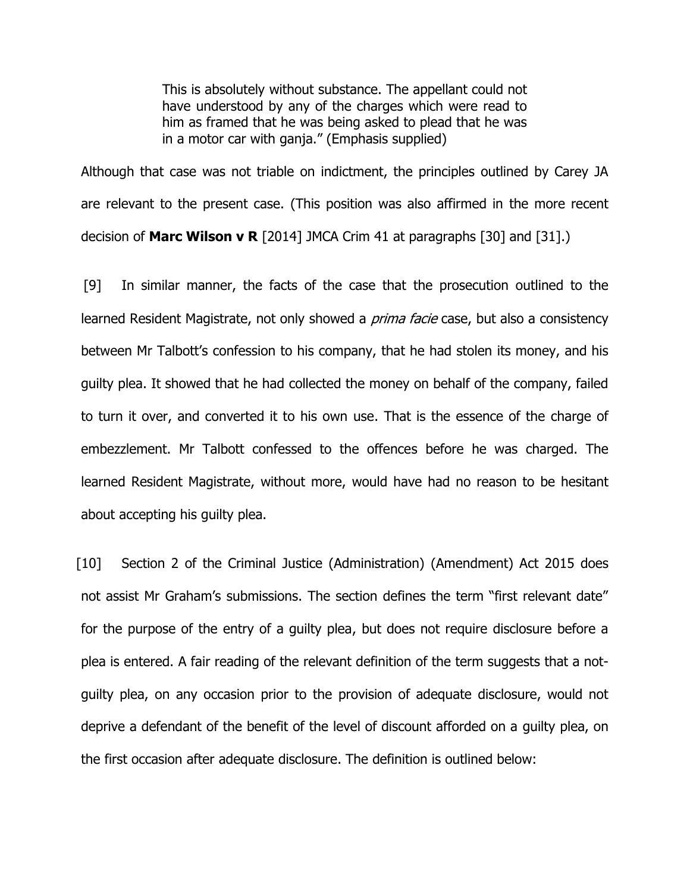This is absolutely without substance. The appellant could not have understood by any of the charges which were read to him as framed that he was being asked to plead that he was in a motor car with ganja." (Emphasis supplied)

Although that case was not triable on indictment, the principles outlined by Carey JA are relevant to the present case. (This position was also affirmed in the more recent decision of **Marc Wilson v R** [2014] JMCA Crim 41 at paragraphs [30] and [31].)

[9] In similar manner, the facts of the case that the prosecution outlined to the learned Resident Magistrate, not only showed a *prima facie* case, but also a consistency between Mr Talbott's confession to his company, that he had stolen its money, and his guilty plea. It showed that he had collected the money on behalf of the company, failed to turn it over, and converted it to his own use. That is the essence of the charge of embezzlement. Mr Talbott confessed to the offences before he was charged. The learned Resident Magistrate, without more, would have had no reason to be hesitant about accepting his guilty plea.

[10] Section 2 of the Criminal Justice (Administration) (Amendment) Act 2015 does not assist Mr Graham's submissions. The section defines the term "first relevant date" for the purpose of the entry of a guilty plea, but does not require disclosure before a plea is entered. A fair reading of the relevant definition of the term suggests that a notguilty plea, on any occasion prior to the provision of adequate disclosure, would not deprive a defendant of the benefit of the level of discount afforded on a guilty plea, on the first occasion after adequate disclosure. The definition is outlined below: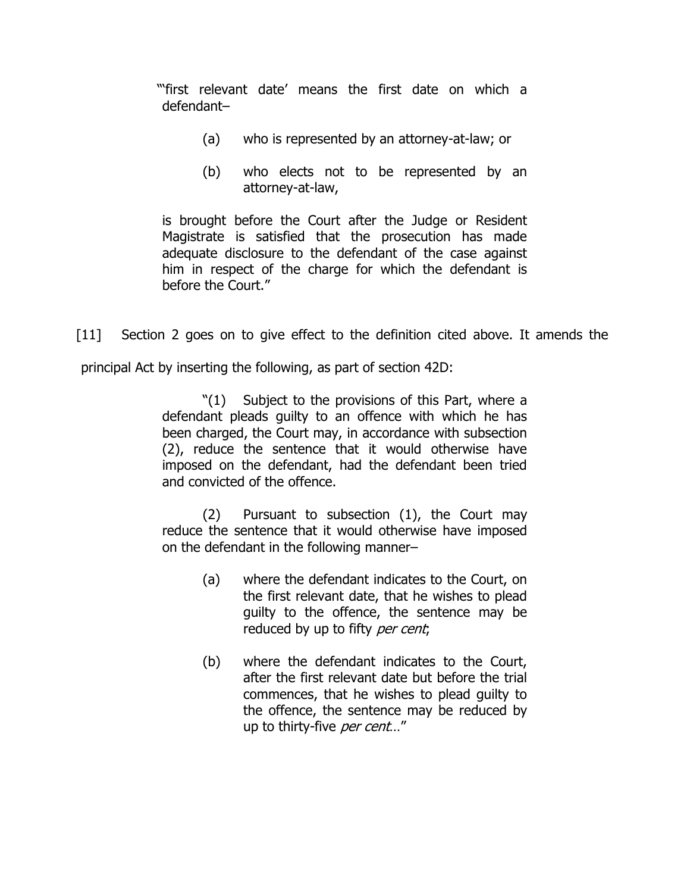"'first relevant date' means the first date on which a defendant–

- (a) who is represented by an attorney-at-law; or
- (b) who elects not to be represented by an attorney-at-law,

is brought before the Court after the Judge or Resident Magistrate is satisfied that the prosecution has made adequate disclosure to the defendant of the case against him in respect of the charge for which the defendant is before the Court."

[11] Section 2 goes on to give effect to the definition cited above. It amends the principal Act by inserting the following, as part of section 42D:

> "(1) Subject to the provisions of this Part, where a defendant pleads guilty to an offence with which he has been charged, the Court may, in accordance with subsection (2), reduce the sentence that it would otherwise have imposed on the defendant, had the defendant been tried and convicted of the offence.

> (2) Pursuant to subsection (1), the Court may reduce the sentence that it would otherwise have imposed on the defendant in the following manner–

- (a) where the defendant indicates to the Court, on the first relevant date, that he wishes to plead guilty to the offence, the sentence may be reduced by up to fifty per cent;
- (b) where the defendant indicates to the Court, after the first relevant date but before the trial commences, that he wishes to plead guilty to the offence, the sentence may be reduced by up to thirty-five per cent..."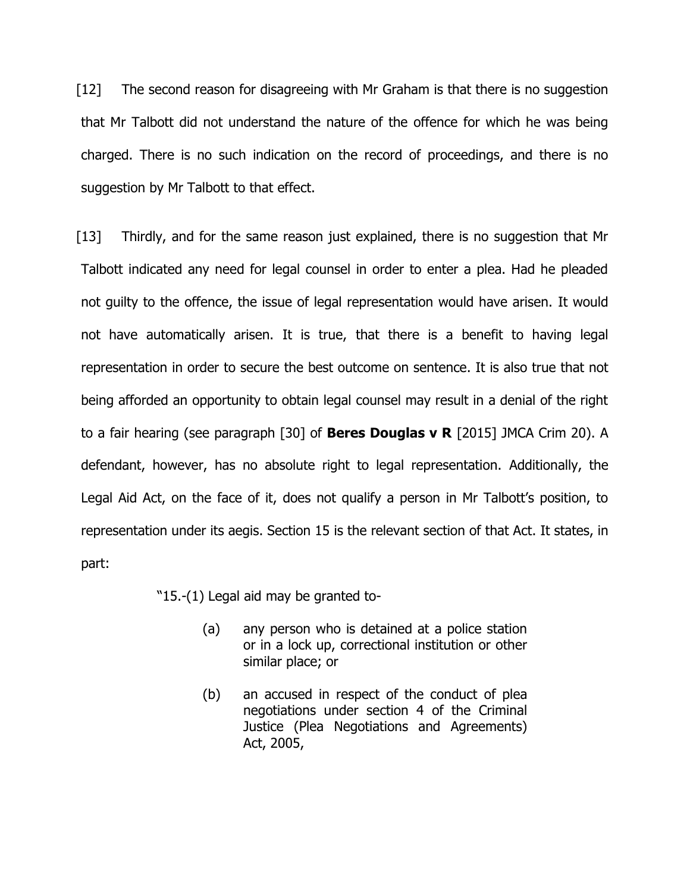[12] The second reason for disagreeing with Mr Graham is that there is no suggestion that Mr Talbott did not understand the nature of the offence for which he was being charged. There is no such indication on the record of proceedings, and there is no suggestion by Mr Talbott to that effect.

[13] Thirdly, and for the same reason just explained, there is no suggestion that Mr Talbott indicated any need for legal counsel in order to enter a plea. Had he pleaded not guilty to the offence, the issue of legal representation would have arisen. It would not have automatically arisen. It is true, that there is a benefit to having legal representation in order to secure the best outcome on sentence. It is also true that not being afforded an opportunity to obtain legal counsel may result in a denial of the right to a fair hearing (see paragraph [30] of **Beres Douglas v R** [2015] JMCA Crim 20). A defendant, however, has no absolute right to legal representation. Additionally, the Legal Aid Act, on the face of it, does not qualify a person in Mr Talbott's position, to representation under its aegis. Section 15 is the relevant section of that Act. It states, in part:

"15.-(1) Legal aid may be granted to-

- (a) any person who is detained at a police station or in a lock up, correctional institution or other similar place; or
- (b) an accused in respect of the conduct of plea negotiations under section 4 of the Criminal Justice (Plea Negotiations and Agreements) Act, 2005,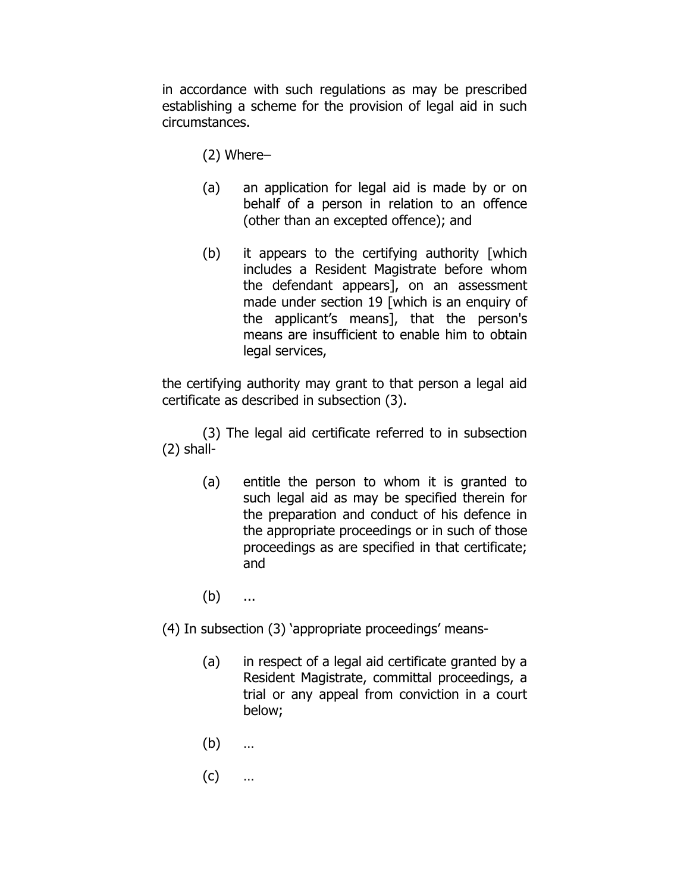in accordance with such regulations as may be prescribed establishing a scheme for the provision of legal aid in such circumstances.

- (2) Where–
- (a) an application for legal aid is made by or on behalf of a person in relation to an offence (other than an excepted offence); and
- (b) it appears to the certifying authority [which includes a Resident Magistrate before whom the defendant appears], on an assessment made under section 19 [which is an enquiry of the applicant's means], that the person's means are insufficient to enable him to obtain legal services,

the certifying authority may grant to that person a legal aid certificate as described in subsection (3).

(3) The legal aid certificate referred to in subsection (2) shall-

- (a) entitle the person to whom it is granted to such legal aid as may be specified therein for the preparation and conduct of his defence in the appropriate proceedings or in such of those proceedings as are specified in that certificate; and
- (b) ...
- (4) In subsection (3) 'appropriate proceedings' means-
	- (a) in respect of a legal aid certificate granted by a Resident Magistrate, committal proceedings, a trial or any appeal from conviction in a court below;
	- (b) …
	- (c) …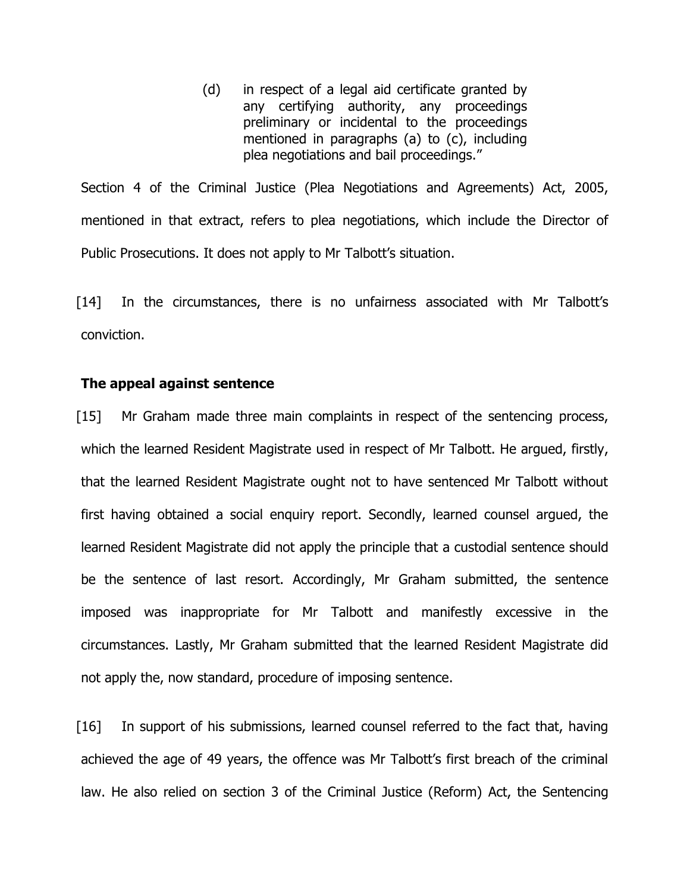(d) in respect of a legal aid certificate granted by any certifying authority, any proceedings preliminary or incidental to the proceedings mentioned in paragraphs (a) to (c), including plea negotiations and bail proceedings."

Section 4 of the Criminal Justice (Plea Negotiations and Agreements) Act, 2005, mentioned in that extract, refers to plea negotiations, which include the Director of Public Prosecutions. It does not apply to Mr Talbott's situation.

[14] In the circumstances, there is no unfairness associated with Mr Talbott's conviction.

## **The appeal against sentence**

[15] Mr Graham made three main complaints in respect of the sentencing process, which the learned Resident Magistrate used in respect of Mr Talbott. He argued, firstly, that the learned Resident Magistrate ought not to have sentenced Mr Talbott without first having obtained a social enquiry report. Secondly, learned counsel argued, the learned Resident Magistrate did not apply the principle that a custodial sentence should be the sentence of last resort. Accordingly, Mr Graham submitted, the sentence imposed was inappropriate for Mr Talbott and manifestly excessive in the circumstances. Lastly, Mr Graham submitted that the learned Resident Magistrate did not apply the, now standard, procedure of imposing sentence.

[16] In support of his submissions, learned counsel referred to the fact that, having achieved the age of 49 years, the offence was Mr Talbott's first breach of the criminal law. He also relied on section 3 of the Criminal Justice (Reform) Act, the Sentencing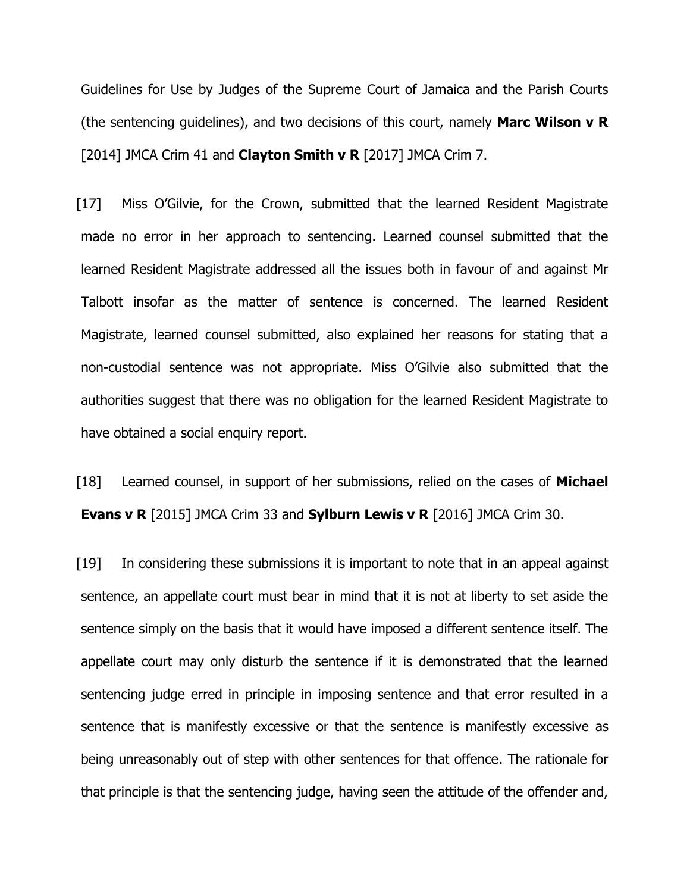Guidelines for Use by Judges of the Supreme Court of Jamaica and the Parish Courts (the sentencing guidelines), and two decisions of this court, namely **Marc Wilson v R** [2014] JMCA Crim 41 and **Clayton Smith v R** [2017] JMCA Crim 7.

[17] Miss O'Gilvie, for the Crown, submitted that the learned Resident Magistrate made no error in her approach to sentencing. Learned counsel submitted that the learned Resident Magistrate addressed all the issues both in favour of and against Mr Talbott insofar as the matter of sentence is concerned. The learned Resident Magistrate, learned counsel submitted, also explained her reasons for stating that a non-custodial sentence was not appropriate. Miss O'Gilvie also submitted that the authorities suggest that there was no obligation for the learned Resident Magistrate to have obtained a social enquiry report.

[18] Learned counsel, in support of her submissions, relied on the cases of **Michael Evans v R** [2015] JMCA Crim 33 and **Sylburn Lewis v R** [2016] JMCA Crim 30.

[19] In considering these submissions it is important to note that in an appeal against sentence, an appellate court must bear in mind that it is not at liberty to set aside the sentence simply on the basis that it would have imposed a different sentence itself. The appellate court may only disturb the sentence if it is demonstrated that the learned sentencing judge erred in principle in imposing sentence and that error resulted in a sentence that is manifestly excessive or that the sentence is manifestly excessive as being unreasonably out of step with other sentences for that offence. The rationale for that principle is that the sentencing judge, having seen the attitude of the offender and,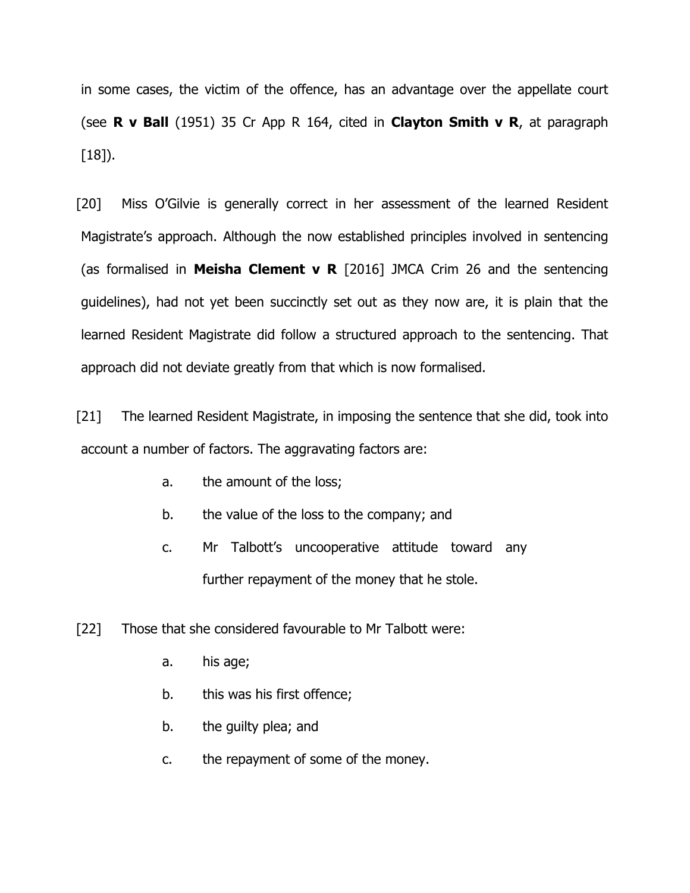in some cases, the victim of the offence, has an advantage over the appellate court (see **R v Ball** (1951) 35 Cr App R 164, cited in **Clayton Smith v R**, at paragraph  $[18]$ .

[20] Miss O'Gilvie is generally correct in her assessment of the learned Resident Magistrate's approach. Although the now established principles involved in sentencing (as formalised in **Meisha Clement v R** [2016] JMCA Crim 26 and the sentencing guidelines), had not yet been succinctly set out as they now are, it is plain that the learned Resident Magistrate did follow a structured approach to the sentencing. That approach did not deviate greatly from that which is now formalised.

[21] The learned Resident Magistrate, in imposing the sentence that she did, took into account a number of factors. The aggravating factors are:

- a. the amount of the loss;
- b. the value of the loss to the company; and
- c. Mr Talbott's uncooperative attitude toward any further repayment of the money that he stole.
- [22] Those that she considered favourable to Mr Talbott were:
	- a. his age;
	- b. this was his first offence;
	- b. the guilty plea; and
	- c. the repayment of some of the money.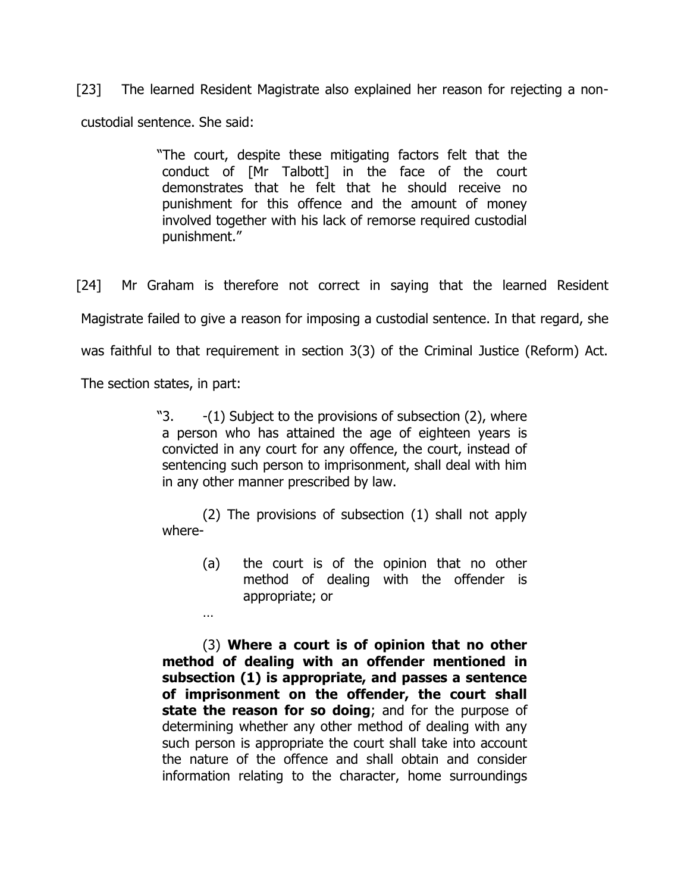[23] The learned Resident Magistrate also explained her reason for rejecting a noncustodial sentence. She said:

> "The court, despite these mitigating factors felt that the conduct of [Mr Talbott] in the face of the court demonstrates that he felt that he should receive no punishment for this offence and the amount of money involved together with his lack of remorse required custodial punishment."

[24] Mr Graham is therefore not correct in saying that the learned Resident Magistrate failed to give a reason for imposing a custodial sentence. In that regard, she was faithful to that requirement in section 3(3) of the Criminal Justice (Reform) Act.

The section states, in part:

…

"3.  $-(1)$  Subject to the provisions of subsection (2), where a person who has attained the age of eighteen years is convicted in any court for any offence, the court, instead of sentencing such person to imprisonment, shall deal with him in any other manner prescribed by law.

(2) The provisions of subsection (1) shall not apply where-

(a) the court is of the opinion that no other method of dealing with the offender is appropriate; or

(3) **Where a court is of opinion that no other method of dealing with an offender mentioned in subsection (1) is appropriate, and passes a sentence of imprisonment on the offender, the court shall state the reason for so doing**; and for the purpose of determining whether any other method of dealing with any such person is appropriate the court shall take into account the nature of the offence and shall obtain and consider information relating to the character, home surroundings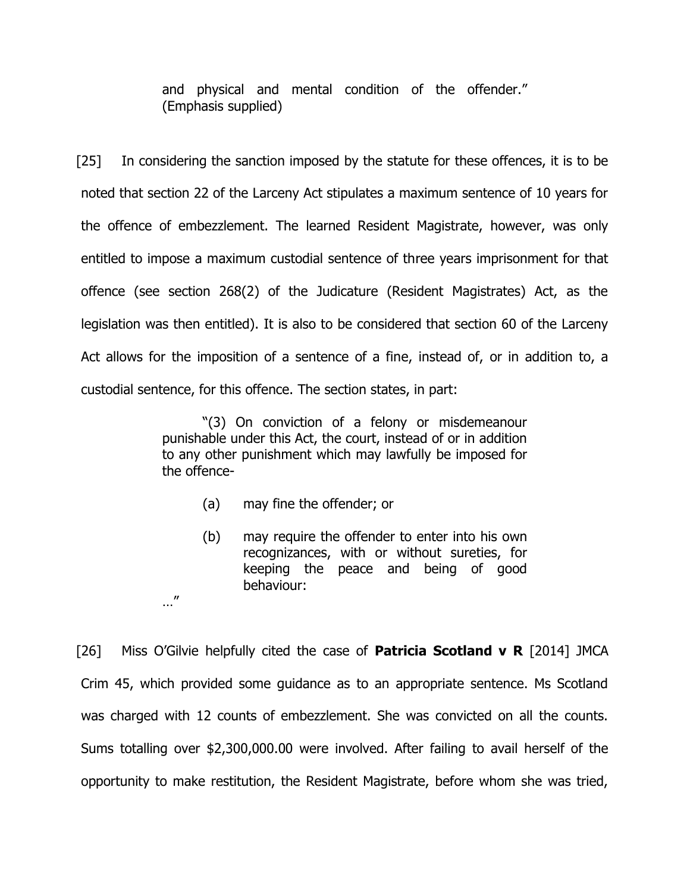and physical and mental condition of the offender." (Emphasis supplied)

[25] In considering the sanction imposed by the statute for these offences, it is to be noted that section 22 of the Larceny Act stipulates a maximum sentence of 10 years for the offence of embezzlement. The learned Resident Magistrate, however, was only entitled to impose a maximum custodial sentence of three years imprisonment for that offence (see section 268(2) of the Judicature (Resident Magistrates) Act, as the legislation was then entitled). It is also to be considered that section 60 of the Larceny Act allows for the imposition of a sentence of a fine, instead of, or in addition to, a custodial sentence, for this offence. The section states, in part:

> "(3) On conviction of a felony or misdemeanour punishable under this Act, the court, instead of or in addition to any other punishment which may lawfully be imposed for the offence-

> > (a) may fine the offender; or

…"

(b) may require the offender to enter into his own recognizances, with or without sureties, for keeping the peace and being of good behaviour:

[26] Miss O'Gilvie helpfully cited the case of **Patricia Scotland v R** [2014] JMCA Crim 45, which provided some guidance as to an appropriate sentence. Ms Scotland was charged with 12 counts of embezzlement. She was convicted on all the counts. Sums totalling over \$2,300,000.00 were involved. After failing to avail herself of the opportunity to make restitution, the Resident Magistrate, before whom she was tried,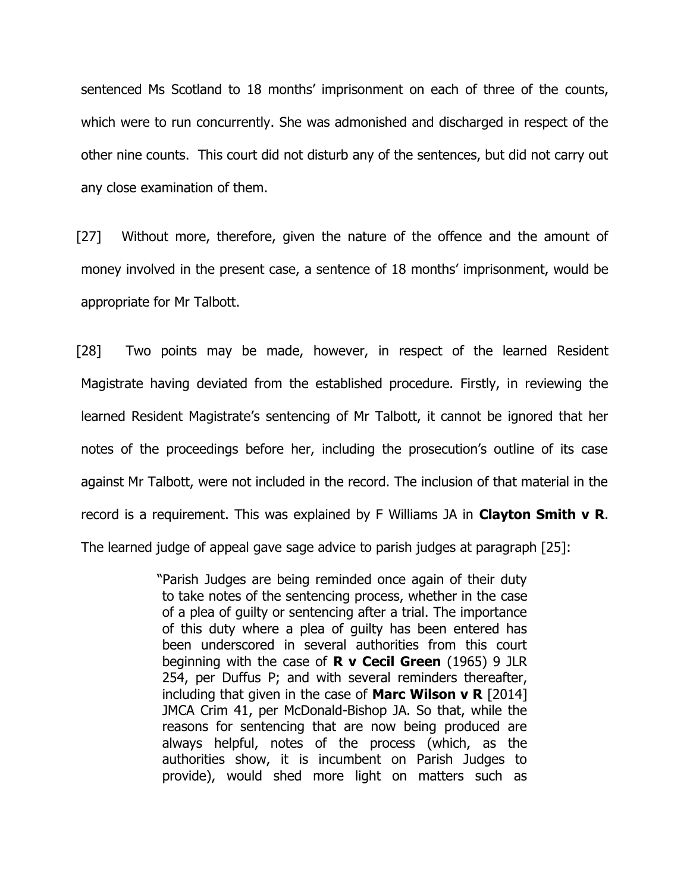sentenced Ms Scotland to 18 months' imprisonment on each of three of the counts, which were to run concurrently. She was admonished and discharged in respect of the other nine counts. This court did not disturb any of the sentences, but did not carry out any close examination of them.

[27] Without more, therefore, given the nature of the offence and the amount of money involved in the present case, a sentence of 18 months' imprisonment, would be appropriate for Mr Talbott.

[28] Two points may be made, however, in respect of the learned Resident Magistrate having deviated from the established procedure. Firstly, in reviewing the learned Resident Magistrate's sentencing of Mr Talbott, it cannot be ignored that her notes of the proceedings before her, including the prosecution's outline of its case against Mr Talbott, were not included in the record. The inclusion of that material in the record is a requirement. This was explained by F Williams JA in **Clayton Smith v R**. The learned judge of appeal gave sage advice to parish judges at paragraph [25]:

> "Parish Judges are being reminded once again of their duty to take notes of the sentencing process, whether in the case of a plea of guilty or sentencing after a trial. The importance of this duty where a plea of guilty has been entered has been underscored in several authorities from this court beginning with the case of **R v Cecil Green** (1965) 9 JLR 254, per Duffus P; and with several reminders thereafter, including that given in the case of **Marc Wilson v R** [2014] JMCA Crim 41, per McDonald-Bishop JA. So that, while the reasons for sentencing that are now being produced are always helpful, notes of the process (which, as the authorities show, it is incumbent on Parish Judges to provide), would shed more light on matters such as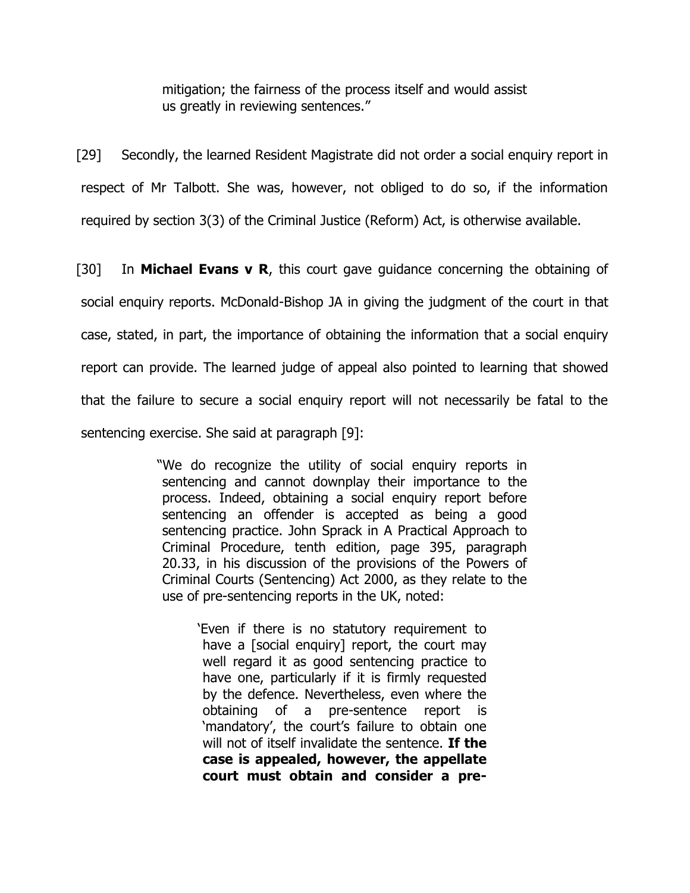mitigation; the fairness of the process itself and would assist us greatly in reviewing sentences."

[29] Secondly, the learned Resident Magistrate did not order a social enquiry report in respect of Mr Talbott. She was, however, not obliged to do so, if the information required by section 3(3) of the Criminal Justice (Reform) Act, is otherwise available.

[30] In **Michael Evans v R**, this court gave guidance concerning the obtaining of social enquiry reports. McDonald-Bishop JA in giving the judgment of the court in that case, stated, in part, the importance of obtaining the information that a social enquiry report can provide. The learned judge of appeal also pointed to learning that showed that the failure to secure a social enquiry report will not necessarily be fatal to the sentencing exercise. She said at paragraph [9]:

> "We do recognize the utility of social enquiry reports in sentencing and cannot downplay their importance to the process. Indeed, obtaining a social enquiry report before sentencing an offender is accepted as being a good sentencing practice. John Sprack in A Practical Approach to Criminal Procedure, tenth edition, page 395, paragraph 20.33, in his discussion of the provisions of the Powers of Criminal Courts (Sentencing) Act 2000, as they relate to the use of pre-sentencing reports in the UK, noted:

> > 'Even if there is no statutory requirement to have a [social enquiry] report, the court may well regard it as good sentencing practice to have one, particularly if it is firmly requested by the defence. Nevertheless, even where the obtaining of a pre-sentence report is 'mandatory', the court's failure to obtain one will not of itself invalidate the sentence. **If the case is appealed, however, the appellate court must obtain and consider a pre-**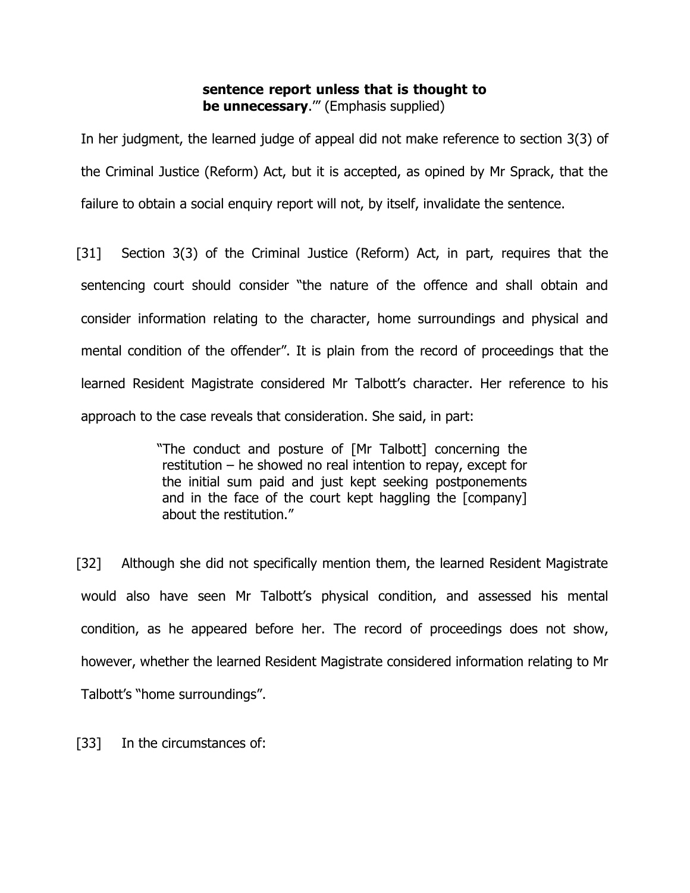## **sentence report unless that is thought to be unnecessary**.'" (Emphasis supplied)

In her judgment, the learned judge of appeal did not make reference to section 3(3) of the Criminal Justice (Reform) Act, but it is accepted, as opined by Mr Sprack, that the failure to obtain a social enquiry report will not, by itself, invalidate the sentence.

[31] Section 3(3) of the Criminal Justice (Reform) Act, in part, requires that the sentencing court should consider "the nature of the offence and shall obtain and consider information relating to the character, home surroundings and physical and mental condition of the offender". It is plain from the record of proceedings that the learned Resident Magistrate considered Mr Talbott's character. Her reference to his approach to the case reveals that consideration. She said, in part:

> "The conduct and posture of [Mr Talbott] concerning the restitution – he showed no real intention to repay, except for the initial sum paid and just kept seeking postponements and in the face of the court kept haggling the [company] about the restitution."

[32] Although she did not specifically mention them, the learned Resident Magistrate would also have seen Mr Talbott's physical condition, and assessed his mental condition, as he appeared before her. The record of proceedings does not show, however, whether the learned Resident Magistrate considered information relating to Mr Talbott's "home surroundings".

[33] In the circumstances of: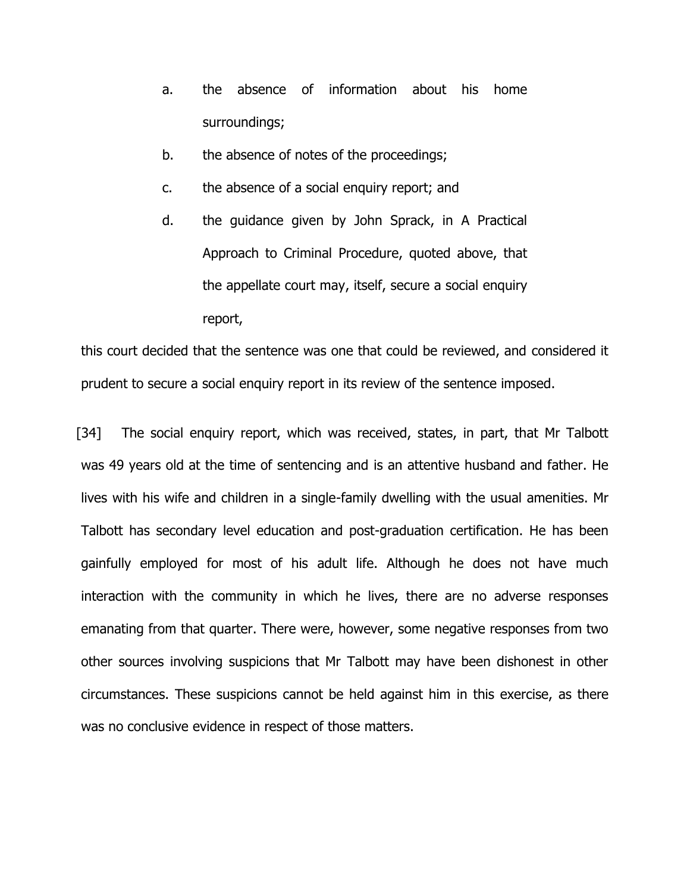- a. the absence of information about his home surroundings;
- b. the absence of notes of the proceedings;
- c. the absence of a social enquiry report; and
- d. the guidance given by John Sprack, in A Practical Approach to Criminal Procedure, quoted above, that the appellate court may, itself, secure a social enquiry report,

this court decided that the sentence was one that could be reviewed, and considered it prudent to secure a social enquiry report in its review of the sentence imposed.

[34] The social enquiry report, which was received, states, in part, that Mr Talbott was 49 years old at the time of sentencing and is an attentive husband and father. He lives with his wife and children in a single-family dwelling with the usual amenities. Mr Talbott has secondary level education and post-graduation certification. He has been gainfully employed for most of his adult life. Although he does not have much interaction with the community in which he lives, there are no adverse responses emanating from that quarter. There were, however, some negative responses from two other sources involving suspicions that Mr Talbott may have been dishonest in other circumstances. These suspicions cannot be held against him in this exercise, as there was no conclusive evidence in respect of those matters.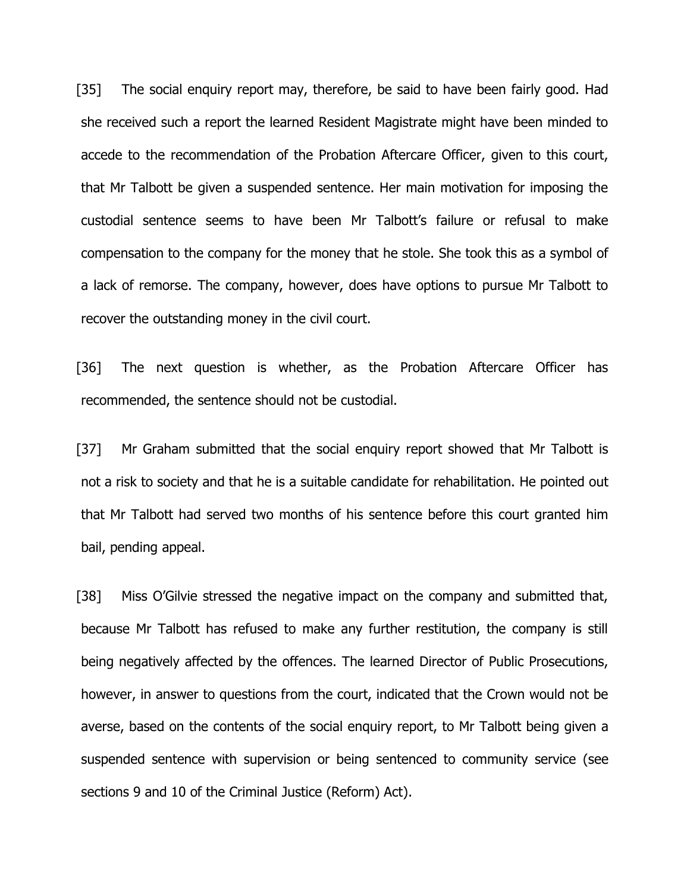[35] The social enquiry report may, therefore, be said to have been fairly good. Had she received such a report the learned Resident Magistrate might have been minded to accede to the recommendation of the Probation Aftercare Officer, given to this court, that Mr Talbott be given a suspended sentence. Her main motivation for imposing the custodial sentence seems to have been Mr Talbott's failure or refusal to make compensation to the company for the money that he stole. She took this as a symbol of a lack of remorse. The company, however, does have options to pursue Mr Talbott to recover the outstanding money in the civil court.

[36] The next question is whether, as the Probation Aftercare Officer has recommended, the sentence should not be custodial.

[37] Mr Graham submitted that the social enquiry report showed that Mr Talbott is not a risk to society and that he is a suitable candidate for rehabilitation. He pointed out that Mr Talbott had served two months of his sentence before this court granted him bail, pending appeal.

[38] Miss O'Gilvie stressed the negative impact on the company and submitted that, because Mr Talbott has refused to make any further restitution, the company is still being negatively affected by the offences. The learned Director of Public Prosecutions, however, in answer to questions from the court, indicated that the Crown would not be averse, based on the contents of the social enquiry report, to Mr Talbott being given a suspended sentence with supervision or being sentenced to community service (see sections 9 and 10 of the Criminal Justice (Reform) Act).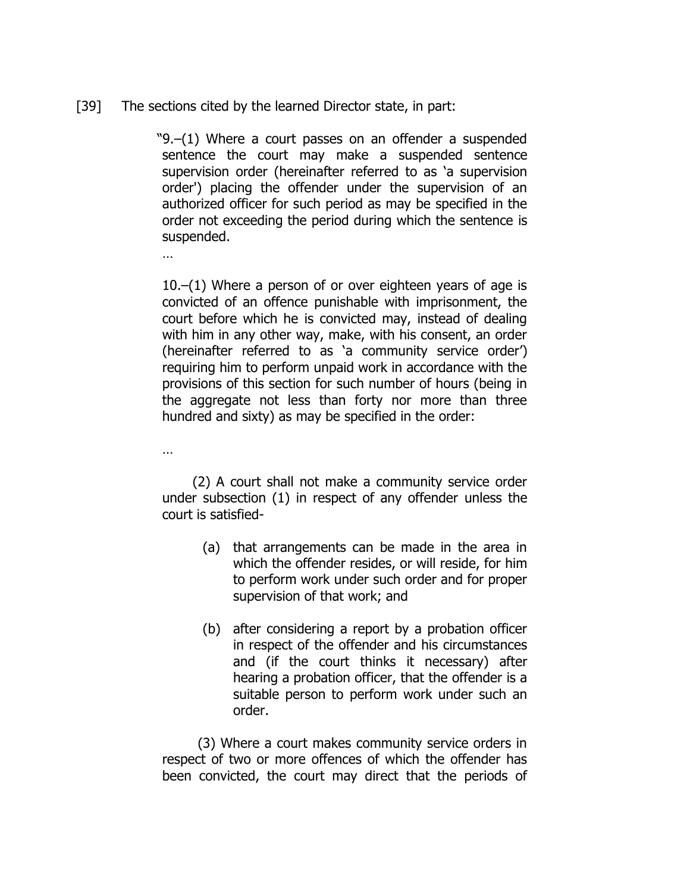## [39] The sections cited by the learned Director state, in part:

"9.–(1) Where a court passes on an offender a suspended sentence the court may make a suspended sentence supervision order (hereinafter referred to as 'a supervision order') placing the offender under the supervision of an authorized officer for such period as may be specified in the order not exceeding the period during which the sentence is suspended.

10.–(1) Where a person of or over eighteen years of age is convicted of an offence punishable with imprisonment, the court before which he is convicted may, instead of dealing with him in any other way, make, with his consent, an order (hereinafter referred to as 'a community service order') requiring him to perform unpaid work in accordance with the provisions of this section for such number of hours (being in the aggregate not less than forty nor more than three hundred and sixty) as may be specified in the order:

…

…

(2) A court shall not make a community service order under subsection (1) in respect of any offender unless the court is satisfied-

- (a) that arrangements can be made in the area in which the offender resides, or will reside, for him to perform work under such order and for proper supervision of that work; and
- (b) after considering a report by a probation officer in respect of the offender and his circumstances and (if the court thinks it necessary) after hearing a probation officer, that the offender is a suitable person to perform work under such an order.

(3) Where a court makes community service orders in respect of two or more offences of which the offender has been convicted, the court may direct that the periods of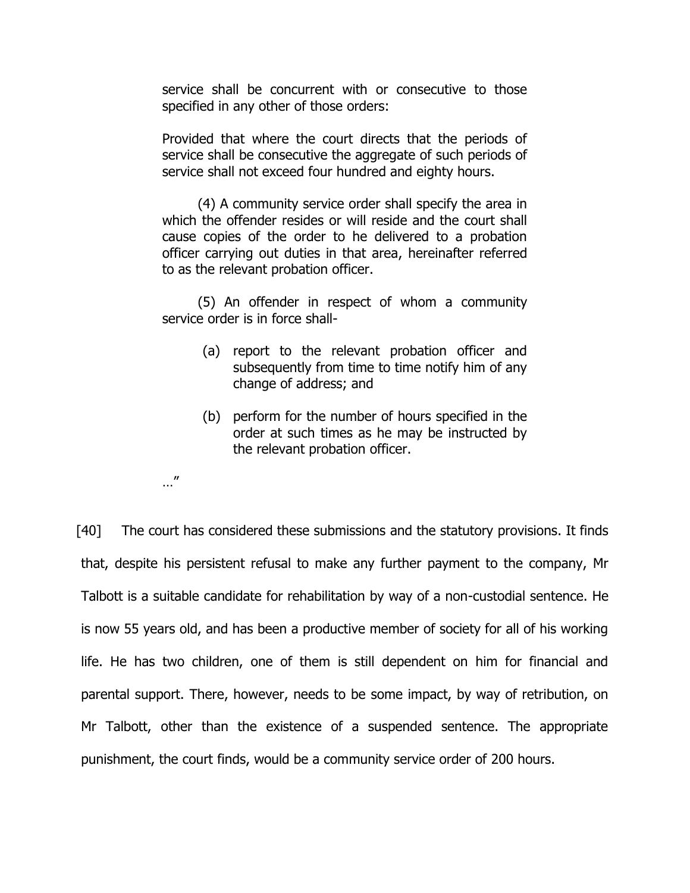service shall be concurrent with or consecutive to those specified in any other of those orders:

Provided that where the court directs that the periods of service shall be consecutive the aggregate of such periods of service shall not exceed four hundred and eighty hours.

(4) A community service order shall specify the area in which the offender resides or will reside and the court shall cause copies of the order to he delivered to a probation officer carrying out duties in that area, hereinafter referred to as the relevant probation officer.

(5) An offender in respect of whom a community service order is in force shall-

- (a) report to the relevant probation officer and subsequently from time to time notify him of any change of address; and
- (b) perform for the number of hours specified in the order at such times as he may be instructed by the relevant probation officer.
- …"

[40] The court has considered these submissions and the statutory provisions. It finds that, despite his persistent refusal to make any further payment to the company, Mr Talbott is a suitable candidate for rehabilitation by way of a non-custodial sentence. He is now 55 years old, and has been a productive member of society for all of his working life. He has two children, one of them is still dependent on him for financial and parental support. There, however, needs to be some impact, by way of retribution, on Mr Talbott, other than the existence of a suspended sentence. The appropriate punishment, the court finds, would be a community service order of 200 hours.